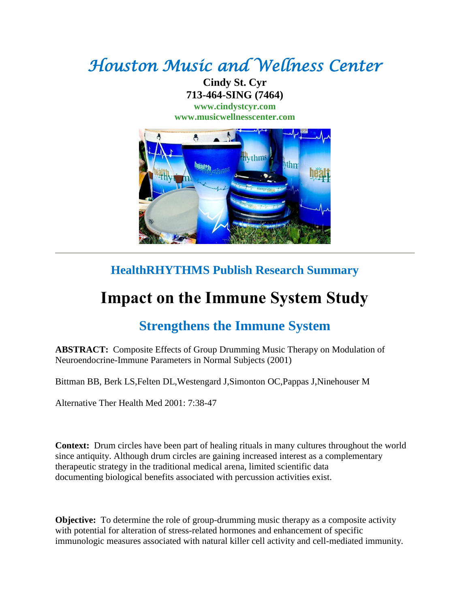## *Houston Music and Wellness Center*

**Cindy St. Cyr 713-464-SING (7464) [www.cindystcyr.com](http://www.cindystcyr.com/)**

**[www.musicwellnesscenter.com](http://www.musicwellnesscenter.com/)**



## **HealthRHYTHMS Publish Research Summary**

## **Impact on the Immune System Study**

## **Strengthens the Immune System**

**ABSTRACT:** Composite Effects of Group Drumming Music Therapy on Modulation of Neuroendocrine-Immune Parameters in Normal Subjects (2001)

Bittman BB, Berk LS,Felten DL,Westengard J,Simonton OC,Pappas J,Ninehouser M

Alternative Ther Health Med 2001: 7:38-47

**Context:** Drum circles have been part of healing rituals in many cultures throughout the world since antiquity. Although drum circles are gaining increased interest as a complementary therapeutic strategy in the traditional medical arena, limited scientific data documenting biological benefits associated with percussion activities exist.

**Objective:** To determine the role of group-drumming music therapy as a composite activity with potential for alteration of stress-related hormones and enhancement of specific immunologic measures associated with natural killer cell activity and cell-mediated immunity.